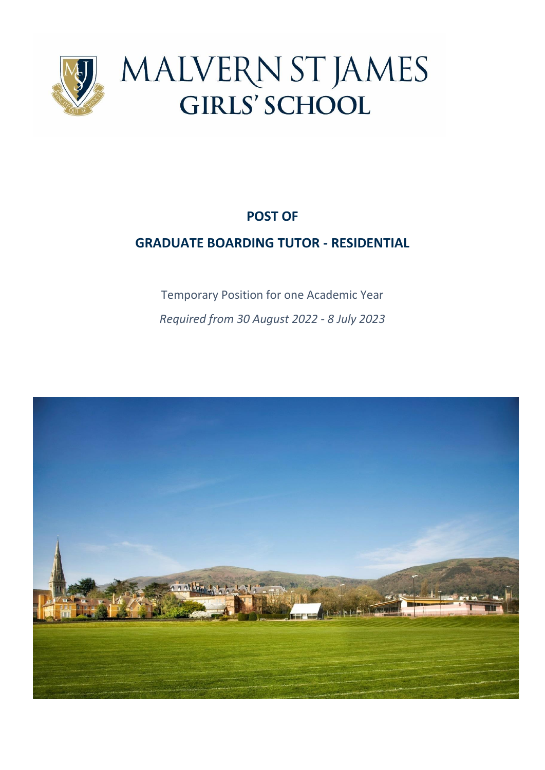

# **POST OF**

## **GRADUATE BOARDING TUTOR - RESIDENTIAL**

Temporary Position for one Academic Year *Required from 30 August 2022 - 8 July 2023*

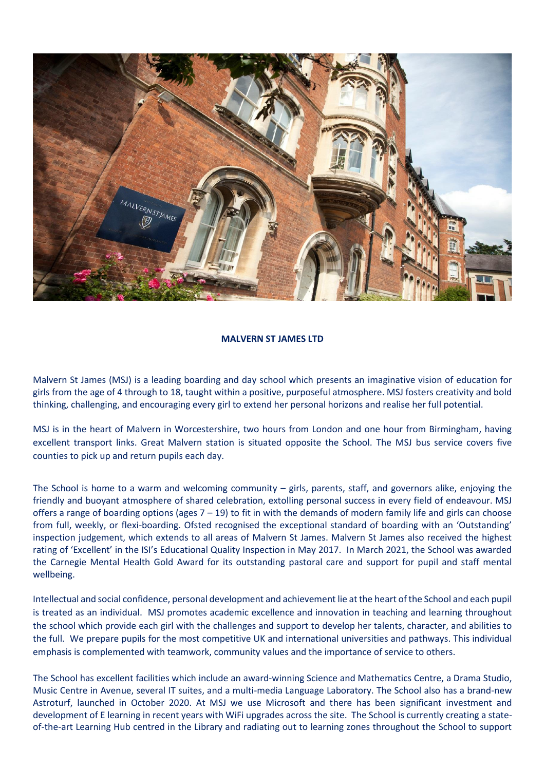

#### **MALVERN ST JAMES LTD**

Malvern St James (MSJ) is a leading boarding and day school which presents an imaginative vision of education for girls from the age of 4 through to 18, taught within a positive, purposeful atmosphere. MSJ fosters creativity and bold thinking, challenging, and encouraging every girl to extend her personal horizons and realise her full potential.

MSJ is in the heart of Malvern in Worcestershire, two hours from London and one hour from Birmingham, having excellent transport links. Great Malvern station is situated opposite the School. The MSJ bus service covers five counties to pick up and return pupils each day.

The School is home to a warm and welcoming community – girls, parents, staff, and governors alike, enjoying the friendly and buoyant atmosphere of shared celebration, extolling personal success in every field of endeavour. MSJ offers a range of boarding options (ages  $7 - 19$ ) to fit in with the demands of modern family life and girls can choose from full, weekly, or flexi-boarding. Ofsted recognised the exceptional standard of boarding with an 'Outstanding' inspection judgement, which extends to all areas of Malvern St James. Malvern St James also received the highest rating of 'Excellent' in the ISI's Educational Quality Inspection in May 2017. In March 2021, the School was awarded the Carnegie Mental Health Gold Award for its outstanding pastoral care and support for pupil and staff mental wellbeing.

Intellectual and social confidence, personal development and achievement lie at the heart of the School and each pupil is treated as an individual. MSJ promotes academic excellence and innovation in teaching and learning throughout the school which provide each girl with the challenges and support to develop her talents, character, and abilities to the full. We prepare pupils for the most competitive UK and international universities and pathways. This individual emphasis is complemented with teamwork, community values and the importance of service to others.

The School has excellent facilities which include an award-winning Science and Mathematics Centre, a Drama Studio, Music Centre in Avenue, several IT suites, and a multi-media Language Laboratory. The School also has a brand-new Astroturf, launched in October 2020. At MSJ we use Microsoft and there has been significant investment and development of E learning in recent years with WiFi upgrades across the site. The School is currently creating a stateof-the-art Learning Hub centred in the Library and radiating out to learning zones throughout the School to support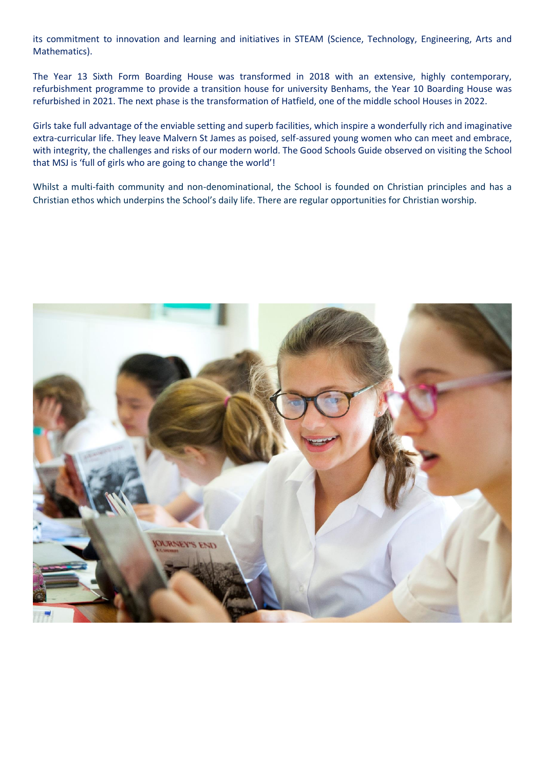its commitment to innovation and learning and initiatives in STEAM (Science, Technology, Engineering, Arts and Mathematics).

The Year 13 Sixth Form Boarding House was transformed in 2018 with an extensive, highly contemporary, refurbishment programme to provide a transition house for university Benhams, the Year 10 Boarding House was refurbished in 2021. The next phase is the transformation of Hatfield, one of the middle school Houses in 2022.

Girls take full advantage of the enviable setting and superb facilities, which inspire a wonderfully rich and imaginative extra-curricular life. They leave Malvern St James as poised, self-assured young women who can meet and embrace, with integrity, the challenges and risks of our modern world. The Good Schools Guide observed on visiting the School that MSJ is 'full of girls who are going to change the world'!

Whilst a multi-faith community and non-denominational, the School is founded on Christian principles and has a Christian ethos which underpins the School's daily life. There are regular opportunities for Christian worship.

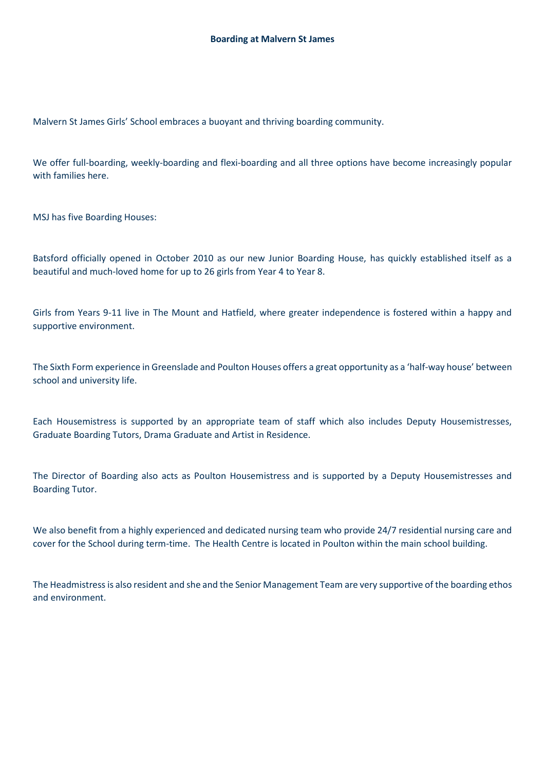Malvern St James Girls' School embraces a buoyant and thriving boarding community.

We offer full-boarding, weekly-boarding and flexi-boarding and all three options have become increasingly popular with families here.

MSJ has five Boarding Houses:

Batsford officially opened in October 2010 as our new Junior Boarding House, has quickly established itself as a beautiful and much-loved home for up to 26 girls from Year 4 to Year 8.

Girls from Years 9-11 live in The Mount and Hatfield, where greater independence is fostered within a happy and supportive environment.

The Sixth Form experience in Greenslade and Poulton Houses offers a great opportunity as a 'half-way house' between school and university life.

Each Housemistress is supported by an appropriate team of staff which also includes Deputy Housemistresses, Graduate Boarding Tutors, Drama Graduate and Artist in Residence.

The Director of Boarding also acts as Poulton Housemistress and is supported by a Deputy Housemistresses and Boarding Tutor.

We also benefit from a highly experienced and dedicated nursing team who provide 24/7 residential nursing care and cover for the School during term-time. The Health Centre is located in Poulton within the main school building.

The Headmistress is also resident and she and the Senior Management Team are very supportive of the boarding ethos and environment.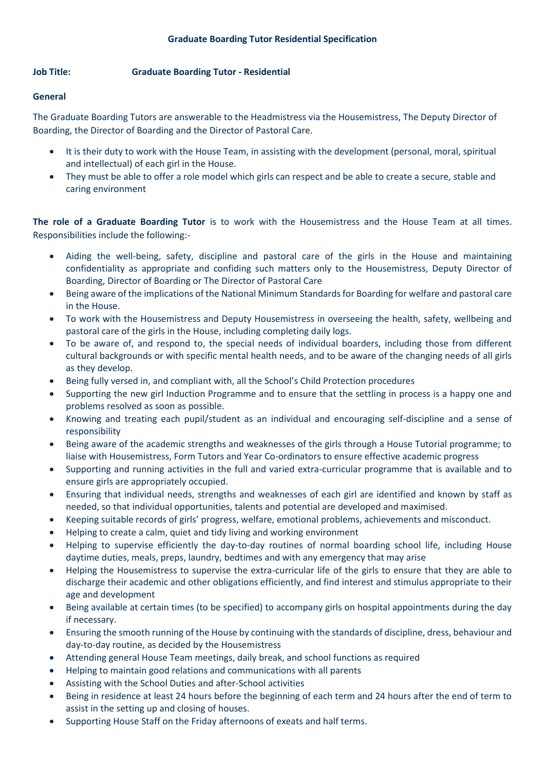## **Job Title: Graduate Boarding Tutor - Residential**

### **General**

The Graduate Boarding Tutors are answerable to the Headmistress via the Housemistress, The Deputy Director of Boarding, the Director of Boarding and the Director of Pastoral Care.

- It is their duty to work with the House Team, in assisting with the development (personal, moral, spiritual and intellectual) of each girl in the House.
- They must be able to offer a role model which girls can respect and be able to create a secure, stable and caring environment

**The role of a Graduate Boarding Tutor** is to work with the Housemistress and the House Team at all times. Responsibilities include the following:-

- Aiding the well-being, safety, discipline and pastoral care of the girls in the House and maintaining confidentiality as appropriate and confiding such matters only to the Housemistress, Deputy Director of Boarding, Director of Boarding or The Director of Pastoral Care
- Being aware of the implications of the National Minimum Standards for Boarding for welfare and pastoral care in the House.
- To work with the Housemistress and Deputy Housemistress in overseeing the health, safety, wellbeing and pastoral care of the girls in the House, including completing daily logs.
- To be aware of, and respond to, the special needs of individual boarders, including those from different cultural backgrounds or with specific mental health needs, and to be aware of the changing needs of all girls as they develop.
- Being fully versed in, and compliant with, all the School's Child Protection procedures
- Supporting the new girl Induction Programme and to ensure that the settling in process is a happy one and problems resolved as soon as possible.
- Knowing and treating each pupil/student as an individual and encouraging self-discipline and a sense of responsibility
- Being aware of the academic strengths and weaknesses of the girls through a House Tutorial programme; to liaise with Housemistress, Form Tutors and Year Co-ordinators to ensure effective academic progress
- Supporting and running activities in the full and varied extra-curricular programme that is available and to ensure girls are appropriately occupied.
- Ensuring that individual needs, strengths and weaknesses of each girl are identified and known by staff as needed, so that individual opportunities, talents and potential are developed and maximised.
- Keeping suitable records of girls' progress, welfare, emotional problems, achievements and misconduct.
- Helping to create a calm, quiet and tidy living and working environment
- Helping to supervise efficiently the day-to-day routines of normal boarding school life, including House daytime duties, meals, preps, laundry, bedtimes and with any emergency that may arise
- Helping the Housemistress to supervise the extra-curricular life of the girls to ensure that they are able to discharge their academic and other obligations efficiently, and find interest and stimulus appropriate to their age and development
- Being available at certain times (to be specified) to accompany girls on hospital appointments during the day if necessary.
- Ensuring the smooth running of the House by continuing with the standards of discipline, dress, behaviour and day-to-day routine, as decided by the Housemistress
- Attending general House Team meetings, daily break, and school functions as required
- Helping to maintain good relations and communications with all parents
- Assisting with the School Duties and after-School activities
- Being in residence at least 24 hours before the beginning of each term and 24 hours after the end of term to assist in the setting up and closing of houses.
- Supporting House Staff on the Friday afternoons of exeats and half terms.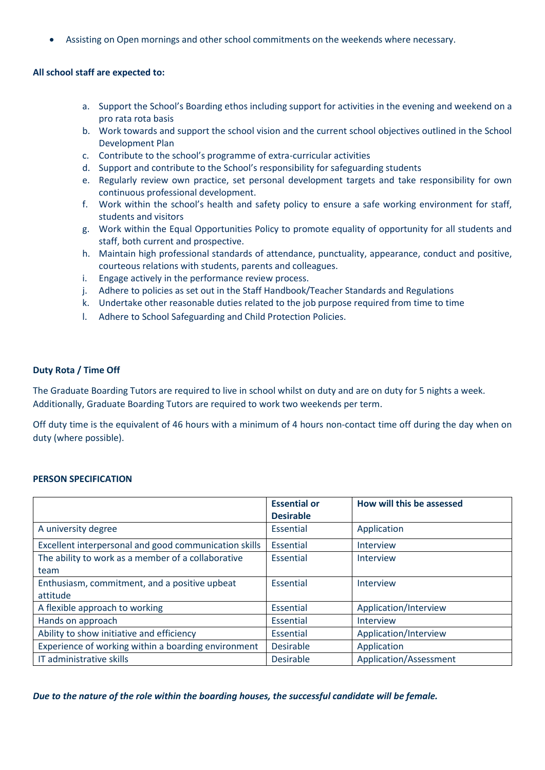• Assisting on Open mornings and other school commitments on the weekends where necessary.

#### **All school staff are expected to:**

- a. Support the School's Boarding ethos including support for activities in the evening and weekend on a pro rata rota basis
- b. Work towards and support the school vision and the current school objectives outlined in the School Development Plan
- c. Contribute to the school's programme of extra-curricular activities
- d. Support and contribute to the School's responsibility for safeguarding students
- e. Regularly review own practice, set personal development targets and take responsibility for own continuous professional development.
- f. Work within the school's health and safety policy to ensure a safe working environment for staff, students and visitors
- g. Work within the Equal Opportunities Policy to promote equality of opportunity for all students and staff, both current and prospective.
- h. Maintain high professional standards of attendance, punctuality, appearance, conduct and positive, courteous relations with students, parents and colleagues.
- i. Engage actively in the performance review process.
- j. Adhere to policies as set out in the Staff Handbook/Teacher Standards and Regulations
- k. Undertake other reasonable duties related to the job purpose required from time to time
- l. Adhere to School Safeguarding and Child Protection Policies.

#### **Duty Rota / Time Off**

The Graduate Boarding Tutors are required to live in school whilst on duty and are on duty for 5 nights a week. Additionally, Graduate Boarding Tutors are required to work two weekends per term.

Off duty time is the equivalent of 46 hours with a minimum of 4 hours non-contact time off during the day when on duty (where possible).

#### **PERSON SPECIFICATION**

|                                                       | <b>Essential or</b><br><b>Desirable</b> | How will this be assessed |
|-------------------------------------------------------|-----------------------------------------|---------------------------|
| A university degree                                   | Essential                               | Application               |
| Excellent interpersonal and good communication skills | Essential                               | Interview                 |
| The ability to work as a member of a collaborative    | Essential                               | Interview                 |
| team                                                  |                                         |                           |
| Enthusiasm, commitment, and a positive upbeat         | Essential                               | Interview                 |
| attitude                                              |                                         |                           |
| A flexible approach to working                        | Essential                               | Application/Interview     |
| Hands on approach                                     | Essential                               | Interview                 |
| Ability to show initiative and efficiency             | Essential                               | Application/Interview     |
| Experience of working within a boarding environment   | <b>Desirable</b>                        | Application               |
| IT administrative skills                              | <b>Desirable</b>                        | Application/Assessment    |

*Due to the nature of the role within the boarding houses, the successful candidate will be female.*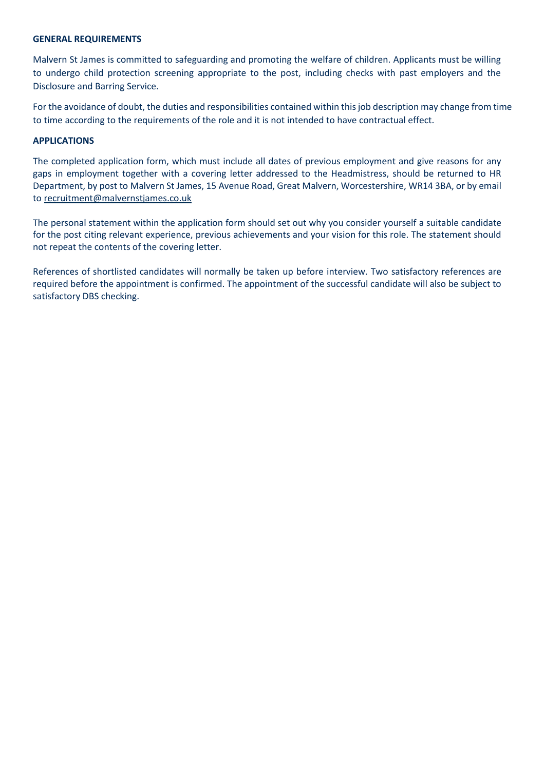#### **GENERAL REQUIREMENTS**

Malvern St James is committed to safeguarding and promoting the welfare of children. Applicants must be willing to undergo child protection screening appropriate to the post, including checks with past employers and the Disclosure and Barring Service.

For the avoidance of doubt, the duties and responsibilities contained within this job description may change from time to time according to the requirements of the role and it is not intended to have contractual effect.

#### **APPLICATIONS**

The completed application form, which must include all dates of previous employment and give reasons for any gaps in employment together with a covering letter addressed to the Headmistress, should be returned to HR Department, by post to Malvern St James, 15 Avenue Road, Great Malvern, Worcestershire, WR14 3BA, or by email to [recruitment@malvernstjames.co.uk](mailto:recruitment@malvernstjames.co.uk)

The personal statement within the application form should set out why you consider yourself a suitable candidate for the post citing relevant experience, previous achievements and your vision for this role. The statement should not repeat the contents of the covering letter.

References of shortlisted candidates will normally be taken up before interview. Two satisfactory references are required before the appointment is confirmed. The appointment of the successful candidate will also be subject to satisfactory DBS checking.